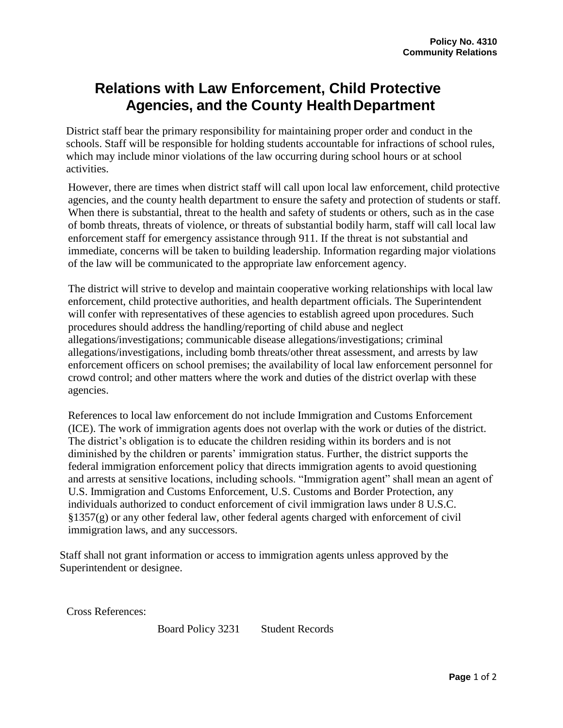## **Relations with Law Enforcement, Child Protective Agencies, and the County HealthDepartment**

District staff bear the primary responsibility for maintaining proper order and conduct in the schools. Staff will be responsible for holding students accountable for infractions of school rules, which may include minor violations of the law occurring during school hours or at school activities.

However, there are times when district staff will call upon local law enforcement, child protective agencies, and the county health department to ensure the safety and protection of students or staff. When there is substantial, threat to the health and safety of students or others, such as in the case of bomb threats, threats of violence, or threats of substantial bodily harm, staff will call local law enforcement staff for emergency assistance through 911. If the threat is not substantial and immediate, concerns will be taken to building leadership. Information regarding major violations of the law will be communicated to the appropriate law enforcement agency.

The district will strive to develop and maintain cooperative working relationships with local law enforcement, child protective authorities, and health department officials. The Superintendent will confer with representatives of these agencies to establish agreed upon procedures. Such procedures should address the handling/reporting of child abuse and neglect allegations/investigations; communicable disease allegations/investigations; criminal allegations/investigations, including bomb threats/other threat assessment, and arrests by law enforcement officers on school premises; the availability of local law enforcement personnel for crowd control; and other matters where the work and duties of the district overlap with these agencies.

References to local law enforcement do not include Immigration and Customs Enforcement (ICE). The work of immigration agents does not overlap with the work or duties of the district. The district's obligation is to educate the children residing within its borders and is not diminished by the children or parents' immigration status. Further, the district supports the federal immigration enforcement policy that directs immigration agents to avoid questioning and arrests at sensitive locations, including schools. "Immigration agent" shall mean an agent of U.S. Immigration and Customs Enforcement, U.S. Customs and Border Protection, any individuals authorized to conduct enforcement of civil immigration laws under 8 U.S.C.  $\S 1357(g)$  or any other federal law, other federal agents charged with enforcement of civil immigration laws, and any successors.

Staff shall not grant information or access to immigration agents unless approved by the Superintendent or designee.

Cross References:

Board Policy 3231 Student Records